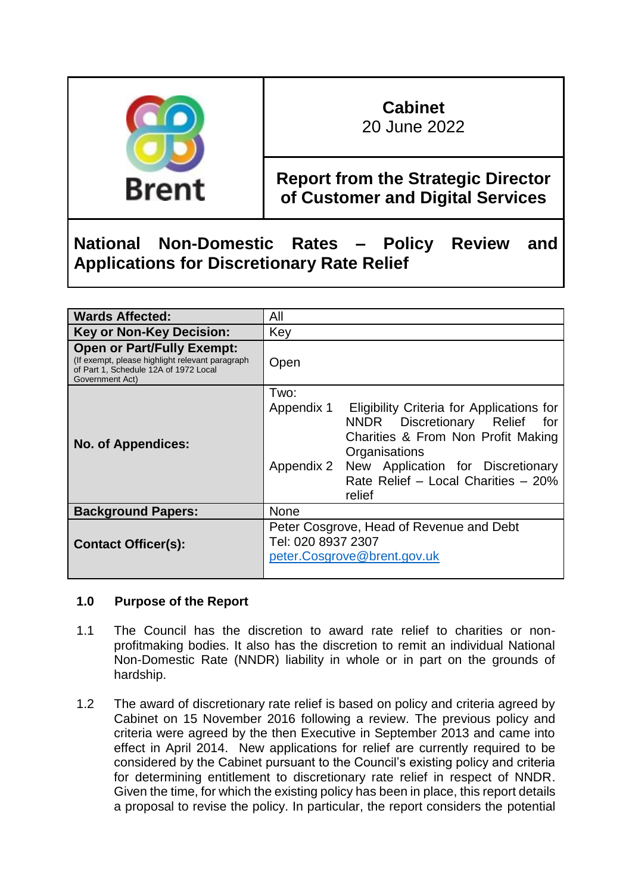

# **Cabinet**

20 June 2022

# **Report from the Strategic Director of Customer and Digital Services**

# **National Non-Domestic Rates – Policy Review and Applications for Discretionary Rate Relief**

| <b>Wards Affected:</b>                                                                                                                           | All                                                                                                                                                                                                                                                         |
|--------------------------------------------------------------------------------------------------------------------------------------------------|-------------------------------------------------------------------------------------------------------------------------------------------------------------------------------------------------------------------------------------------------------------|
| <b>Key or Non-Key Decision:</b>                                                                                                                  | Key                                                                                                                                                                                                                                                         |
| <b>Open or Part/Fully Exempt:</b><br>(If exempt, please highlight relevant paragraph<br>of Part 1, Schedule 12A of 1972 Local<br>Government Act) | Open                                                                                                                                                                                                                                                        |
| <b>No. of Appendices:</b>                                                                                                                        | Two:<br>Appendix 1<br>Eligibility Criteria for Applications for<br>NNDR Discretionary Relief for<br>Charities & From Non Profit Making<br>Organisations<br>Appendix 2<br>New Application for Discretionary<br>Rate Relief - Local Charities - 20%<br>relief |
| <b>Background Papers:</b>                                                                                                                        | <b>None</b>                                                                                                                                                                                                                                                 |
| <b>Contact Officer(s):</b>                                                                                                                       | Peter Cosgrove, Head of Revenue and Debt<br>Tel: 020 8937 2307<br>peter.Cosgrove@brent.gov.uk                                                                                                                                                               |

# **1.0 Purpose of the Report**

- 1.1 The Council has the discretion to award rate relief to charities or nonprofitmaking bodies. It also has the discretion to remit an individual National Non-Domestic Rate (NNDR) liability in whole or in part on the grounds of hardship.
- 1.2 The award of discretionary rate relief is based on policy and criteria agreed by Cabinet on 15 November 2016 following a review. The previous policy and criteria were agreed by the then Executive in September 2013 and came into effect in April 2014. New applications for relief are currently required to be considered by the Cabinet pursuant to the Council's existing policy and criteria for determining entitlement to discretionary rate relief in respect of NNDR. Given the time, for which the existing policy has been in place, this report details a proposal to revise the policy. In particular, the report considers the potential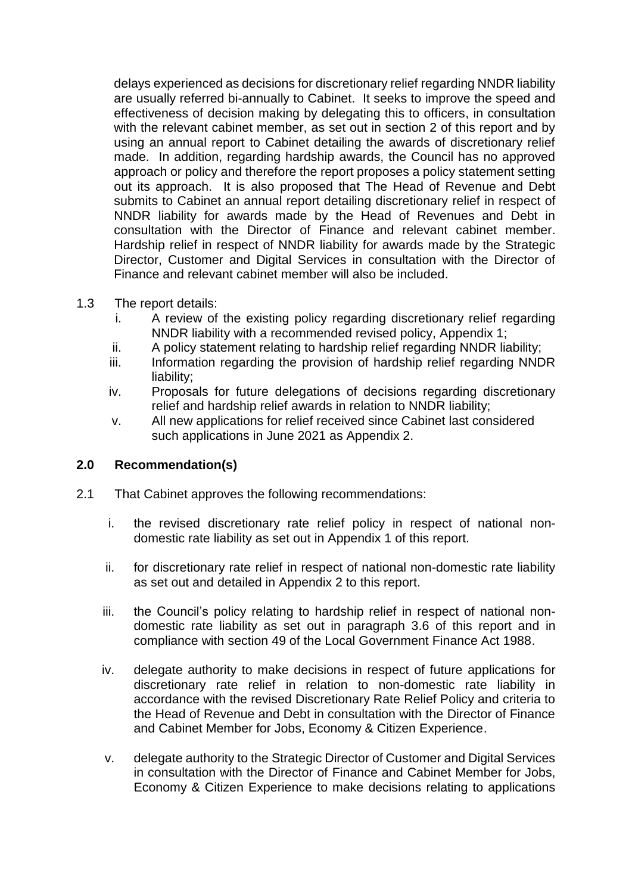delays experienced as decisions for discretionary relief regarding NNDR liability are usually referred bi-annually to Cabinet. It seeks to improve the speed and effectiveness of decision making by delegating this to officers, in consultation with the relevant cabinet member, as set out in section 2 of this report and by using an annual report to Cabinet detailing the awards of discretionary relief made. In addition, regarding hardship awards, the Council has no approved approach or policy and therefore the report proposes a policy statement setting out its approach. It is also proposed that The Head of Revenue and Debt submits to Cabinet an annual report detailing discretionary relief in respect of NNDR liability for awards made by the Head of Revenues and Debt in consultation with the Director of Finance and relevant cabinet member. Hardship relief in respect of NNDR liability for awards made by the Strategic Director, Customer and Digital Services in consultation with the Director of Finance and relevant cabinet member will also be included.

- 1.3 The report details:
	- i. A review of the existing policy regarding discretionary relief regarding NNDR liability with a recommended revised policy, Appendix 1;
	- ii. A policy statement relating to hardship relief regarding NNDR liability;
	- iii. Information regarding the provision of hardship relief regarding NNDR liability;
	- iv. Proposals for future delegations of decisions regarding discretionary relief and hardship relief awards in relation to NNDR liability;
	- v. All new applications for relief received since Cabinet last considered such applications in June 2021 as Appendix 2.

# **2.0 Recommendation(s)**

- 2.1 That Cabinet approves the following recommendations:
	- i. the revised discretionary rate relief policy in respect of national nondomestic rate liability as set out in Appendix 1 of this report.
	- ii. for discretionary rate relief in respect of national non-domestic rate liability as set out and detailed in Appendix 2 to this report.
	- iii. the Council's policy relating to hardship relief in respect of national nondomestic rate liability as set out in paragraph 3.6 of this report and in compliance with section 49 of the Local Government Finance Act 1988.
	- iv. delegate authority to make decisions in respect of future applications for discretionary rate relief in relation to non-domestic rate liability in accordance with the revised Discretionary Rate Relief Policy and criteria to the Head of Revenue and Debt in consultation with the Director of Finance and Cabinet Member for Jobs, Economy & Citizen Experience.
	- v. delegate authority to the Strategic Director of Customer and Digital Services in consultation with the Director of Finance and Cabinet Member for Jobs, Economy & Citizen Experience to make decisions relating to applications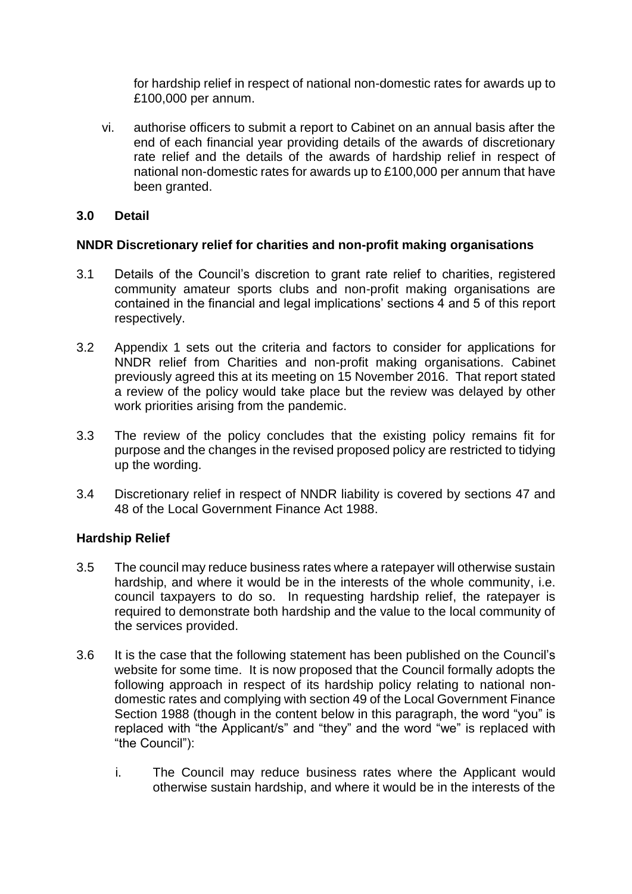for hardship relief in respect of national non-domestic rates for awards up to £100,000 per annum.

vi. authorise officers to submit a report to Cabinet on an annual basis after the end of each financial year providing details of the awards of discretionary rate relief and the details of the awards of hardship relief in respect of national non-domestic rates for awards up to £100,000 per annum that have been granted.

### **3.0 Detail**

### **NNDR Discretionary relief for charities and non-profit making organisations**

- 3.1 Details of the Council's discretion to grant rate relief to charities, registered community amateur sports clubs and non-profit making organisations are contained in the financial and legal implications' sections 4 and 5 of this report respectively.
- 3.2 Appendix 1 sets out the criteria and factors to consider for applications for NNDR relief from Charities and non-profit making organisations. Cabinet previously agreed this at its meeting on 15 November 2016. That report stated a review of the policy would take place but the review was delayed by other work priorities arising from the pandemic.
- 3.3 The review of the policy concludes that the existing policy remains fit for purpose and the changes in the revised proposed policy are restricted to tidying up the wording.
- 3.4 Discretionary relief in respect of NNDR liability is covered by sections 47 and 48 of the Local Government Finance Act 1988.

# **Hardship Relief**

- 3.5 The council may reduce business rates where a ratepayer will otherwise sustain hardship, and where it would be in the interests of the whole community, i.e. council taxpayers to do so. In requesting hardship relief, the ratepayer is required to demonstrate both hardship and the value to the local community of the services provided.
- 3.6 It is the case that the following statement has been published on the Council's website for some time. It is now proposed that the Council formally adopts the following approach in respect of its hardship policy relating to national nondomestic rates and complying with section 49 of the Local Government Finance Section 1988 (though in the content below in this paragraph, the word "you" is replaced with "the Applicant/s" and "they" and the word "we" is replaced with "the Council"):
	- i. The Council may reduce business rates where the Applicant would otherwise sustain hardship, and where it would be in the interests of the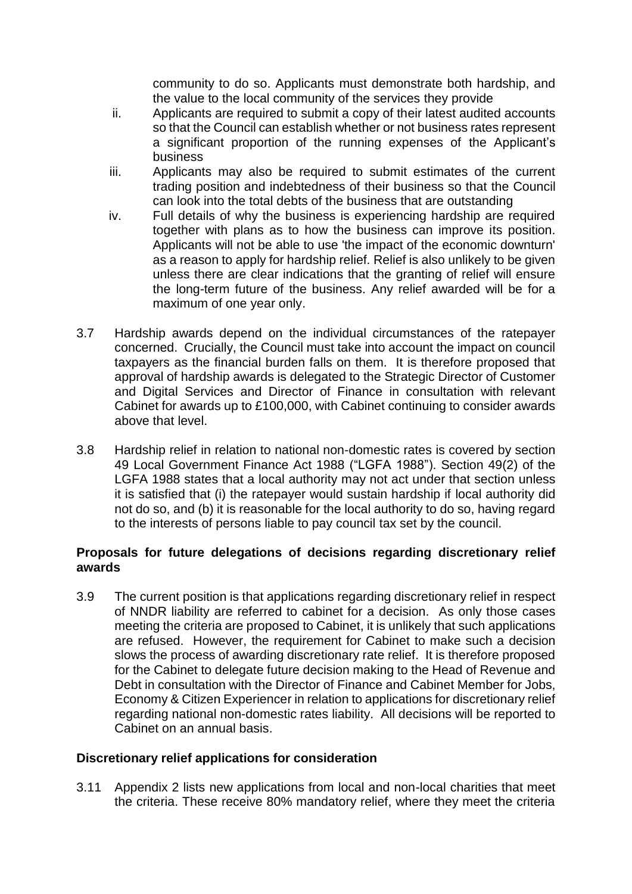community to do so. Applicants must demonstrate both hardship, and the value to the local community of the services they provide

- ii. Applicants are required to submit a copy of their latest audited accounts so that the Council can establish whether or not business rates represent a significant proportion of the running expenses of the Applicant's business
- iii. Applicants may also be required to submit estimates of the current trading position and indebtedness of their business so that the Council can look into the total debts of the business that are outstanding
- iv. Full details of why the business is experiencing hardship are required together with plans as to how the business can improve its position. Applicants will not be able to use 'the impact of the economic downturn' as a reason to apply for hardship relief. Relief is also unlikely to be given unless there are clear indications that the granting of relief will ensure the long-term future of the business. Any relief awarded will be for a maximum of one year only.
- 3.7 Hardship awards depend on the individual circumstances of the ratepayer concerned. Crucially, the Council must take into account the impact on council taxpayers as the financial burden falls on them. It is therefore proposed that approval of hardship awards is delegated to the Strategic Director of Customer and Digital Services and Director of Finance in consultation with relevant Cabinet for awards up to £100,000, with Cabinet continuing to consider awards above that level.
- 3.8 Hardship relief in relation to national non-domestic rates is covered by section 49 Local Government Finance Act 1988 ("LGFA 1988"). Section 49(2) of the LGFA 1988 states that a local authority may not act under that section unless it is satisfied that (i) the ratepayer would sustain hardship if local authority did not do so, and (b) it is reasonable for the local authority to do so, having regard to the interests of persons liable to pay council tax set by the council.

### **Proposals for future delegations of decisions regarding discretionary relief awards**

3.9 The current position is that applications regarding discretionary relief in respect of NNDR liability are referred to cabinet for a decision. As only those cases meeting the criteria are proposed to Cabinet, it is unlikely that such applications are refused. However, the requirement for Cabinet to make such a decision slows the process of awarding discretionary rate relief. It is therefore proposed for the Cabinet to delegate future decision making to the Head of Revenue and Debt in consultation with the Director of Finance and Cabinet Member for Jobs, Economy & Citizen Experiencer in relation to applications for discretionary relief regarding national non-domestic rates liability. All decisions will be reported to Cabinet on an annual basis.

#### **Discretionary relief applications for consideration**

3.11 Appendix 2 lists new applications from local and non-local charities that meet the criteria. These receive 80% mandatory relief, where they meet the criteria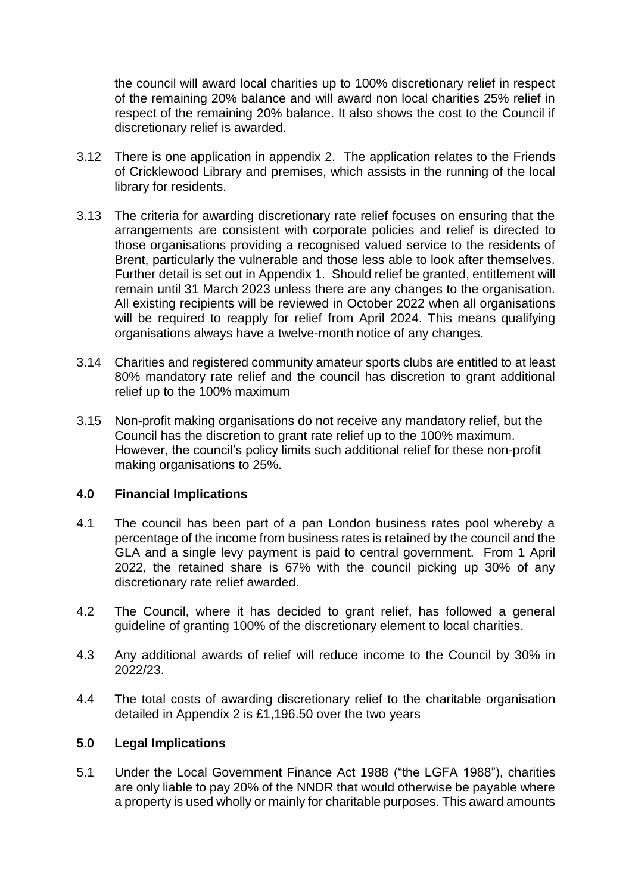the council will award local charities up to 100% discretionary relief in respect of the remaining 20% balance and will award non local charities 25% relief in respect of the remaining 20% balance. It also shows the cost to the Council if discretionary relief is awarded.

- 3.12 There is one application in appendix 2. The application relates to the Friends of Cricklewood Library and premises, which assists in the running of the local library for residents.
- 3.13 The criteria for awarding discretionary rate relief focuses on ensuring that the arrangements are consistent with corporate policies and relief is directed to those organisations providing a recognised valued service to the residents of Brent, particularly the vulnerable and those less able to look after themselves. Further detail is set out in Appendix 1. Should relief be granted, entitlement will remain until 31 March 2023 unless there are any changes to the organisation. All existing recipients will be reviewed in October 2022 when all organisations will be required to reapply for relief from April 2024. This means qualifying organisations always have a twelve-month notice of any changes.
- 3.14 Charities and registered community amateur sports clubs are entitled to at least 80% mandatory rate relief and the council has discretion to grant additional relief up to the 100% maximum
- 3.15 Non-profit making organisations do not receive any mandatory relief, but the Council has the discretion to grant rate relief up to the 100% maximum. However, the council's policy limits such additional relief for these non-profit making organisations to 25%.

#### **4.0 Financial Implications**

- 4.1 The council has been part of a pan London business rates pool whereby a percentage of the income from business rates is retained by the council and the GLA and a single levy payment is paid to central government. From 1 April 2022, the retained share is 67% with the council picking up 30% of any discretionary rate relief awarded.
- 4.2 The Council, where it has decided to grant relief, has followed a general guideline of granting 100% of the discretionary element to local charities.
- 4.3 Any additional awards of relief will reduce income to the Council by 30% in 2022/23.
- 4.4 The total costs of awarding discretionary relief to the charitable organisation detailed in Appendix 2 is £1,196.50 over the two years

#### **5.0 Legal Implications**

5.1 Under the Local Government Finance Act 1988 ("the LGFA 1988"), charities are only liable to pay 20% of the NNDR that would otherwise be payable where a property is used wholly or mainly for charitable purposes. This award amounts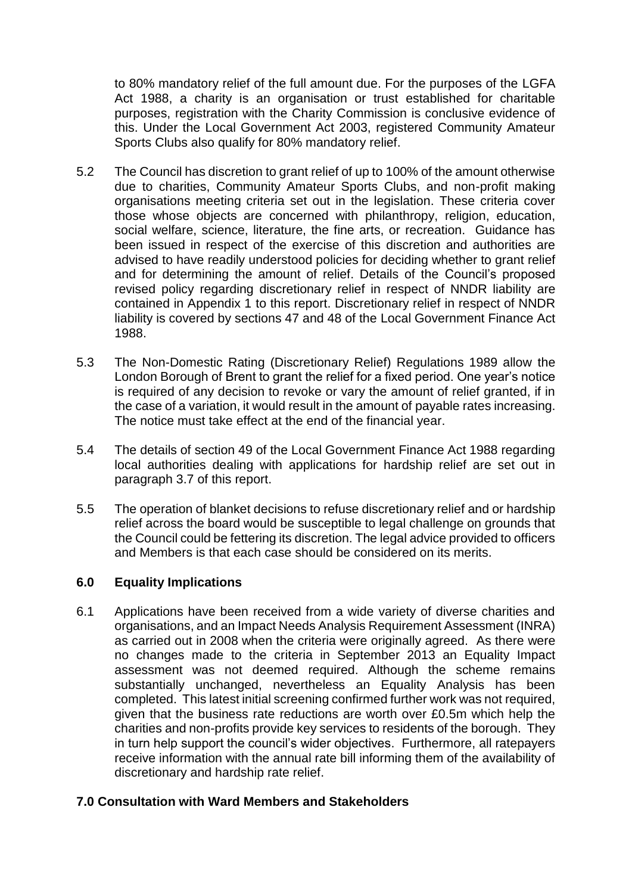to 80% mandatory relief of the full amount due. For the purposes of the LGFA Act 1988, a charity is an organisation or trust established for charitable purposes, registration with the Charity Commission is conclusive evidence of this. Under the Local Government Act 2003, registered Community Amateur Sports Clubs also qualify for 80% mandatory relief.

- 5.2 The Council has discretion to grant relief of up to 100% of the amount otherwise due to charities, Community Amateur Sports Clubs, and non-profit making organisations meeting criteria set out in the legislation. These criteria cover those whose objects are concerned with philanthropy, religion, education, social welfare, science, literature, the fine arts, or recreation. Guidance has been issued in respect of the exercise of this discretion and authorities are advised to have readily understood policies for deciding whether to grant relief and for determining the amount of relief. Details of the Council's proposed revised policy regarding discretionary relief in respect of NNDR liability are contained in Appendix 1 to this report. Discretionary relief in respect of NNDR liability is covered by sections 47 and 48 of the Local Government Finance Act 1988.
- 5.3 The Non-Domestic Rating (Discretionary Relief) Regulations 1989 allow the London Borough of Brent to grant the relief for a fixed period. One year's notice is required of any decision to revoke or vary the amount of relief granted, if in the case of a variation, it would result in the amount of payable rates increasing. The notice must take effect at the end of the financial year.
- 5.4 The details of section 49 of the Local Government Finance Act 1988 regarding local authorities dealing with applications for hardship relief are set out in paragraph 3.7 of this report.
- 5.5 The operation of blanket decisions to refuse discretionary relief and or hardship relief across the board would be susceptible to legal challenge on grounds that the Council could be fettering its discretion. The legal advice provided to officers and Members is that each case should be considered on its merits.

#### **6.0 Equality Implications**

6.1 Applications have been received from a wide variety of diverse charities and organisations, and an Impact Needs Analysis Requirement Assessment (INRA) as carried out in 2008 when the criteria were originally agreed. As there were no changes made to the criteria in September 2013 an Equality Impact assessment was not deemed required. Although the scheme remains substantially unchanged, nevertheless an Equality Analysis has been completed. This latest initial screening confirmed further work was not required, given that the business rate reductions are worth over £0.5m which help the charities and non-profits provide key services to residents of the borough. They in turn help support the council's wider objectives. Furthermore, all ratepayers receive information with the annual rate bill informing them of the availability of discretionary and hardship rate relief.

#### **7.0 Consultation with Ward Members and Stakeholders**